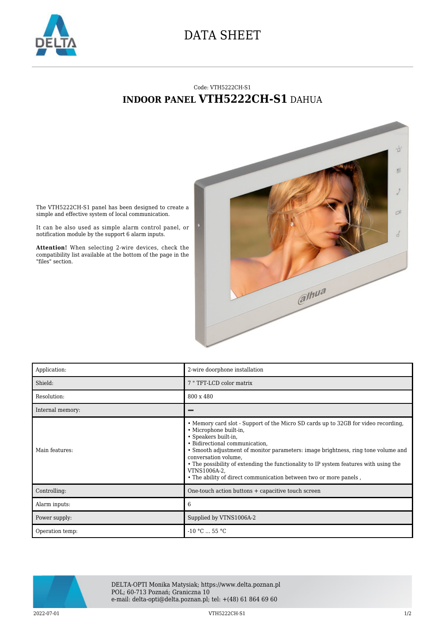

## DATA SHEET

## Code: VTH5222CH-S1 **INDOOR PANEL VTH5222CH-S1** DAHUA



The VTH5222CH-S1 panel has been designed to create a simple and effective system of local communication.

It can be also used as simple alarm control panel, or notification module by the support 6 alarm inputs.

**Attention!** When selecting 2-wire devices, check the compatibility list available at the bottom of the page in the "files" section.

| Application:     | 2-wire doorphone installation                                                                                                                                                                                                                                                                                                                                                                                                                                     |
|------------------|-------------------------------------------------------------------------------------------------------------------------------------------------------------------------------------------------------------------------------------------------------------------------------------------------------------------------------------------------------------------------------------------------------------------------------------------------------------------|
| Shield:          | 7 "TFT-LCD color matrix                                                                                                                                                                                                                                                                                                                                                                                                                                           |
| Resolution:      | 800 x 480                                                                                                                                                                                                                                                                                                                                                                                                                                                         |
| Internal memory: |                                                                                                                                                                                                                                                                                                                                                                                                                                                                   |
| Main features:   | • Memory card slot - Support of the Micro SD cards up to 32GB for video recording,<br>· Microphone built-in,<br>• Speakers built-in,<br>• Bidirectional communication.<br>• Smooth adjustment of monitor parameters: image brightness, ring tone volume and<br>conversation volume.<br>• The possibility of extending the functionality to IP system features with using the<br>VTNS1006A-2.<br>. The ability of direct communication between two or more panels, |
| Controlling:     | One-touch action buttons + capacitive touch screen                                                                                                                                                                                                                                                                                                                                                                                                                |
| Alarm inputs:    | 6                                                                                                                                                                                                                                                                                                                                                                                                                                                                 |
| Power supply:    | Supplied by VTNS1006A-2                                                                                                                                                                                                                                                                                                                                                                                                                                           |
| Operation temp:  | $-10$ °C $\dots$ 55 °C                                                                                                                                                                                                                                                                                                                                                                                                                                            |



DELTA-OPTI Monika Matysiak; https://www.delta.poznan.pl POL; 60-713 Poznań; Graniczna 10 e-mail: delta-opti@delta.poznan.pl; tel: +(48) 61 864 69 60